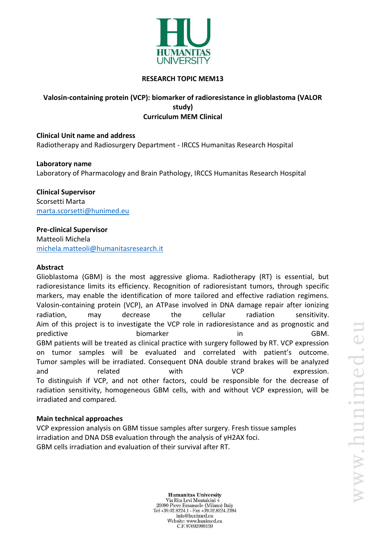

### **RESEARCH TOPIC MEM13**

# **Valosin‐containing protein (VCP): biomarker of radioresistance in glioblastoma (VALOR study) Curriculum MEM Clinical**

**Clinical Unit name and address** Radiotherapy and Radiosurgery Department - IRCCS Humanitas Research Hospital

**Laboratory name** Laboratory of Pharmacology and Brain Pathology, IRCCS Humanitas Research Hospital

**Clinical Supervisor** Scorsetti Marta [marta.scorsetti@hunimed.eu](mailto:marta.scorsetti@hunimed.eu)

**Pre-clinical Supervisor** Matteoli Michela [michela.matteoli@humanitasresearch.it](mailto:michela.matteoli@humanitasresearch.it)

### **Abstract**

Glioblastoma (GBM) is the most aggressive glioma. Radiotherapy (RT) is essential, but radioresistance limits its efficiency. Recognition of radioresistant tumors, through specific markers, may enable the identification of more tailored and effective radiation regimens. Valosin‐containing protein (VCP), an ATPase involved in DNA damage repair after ionizing radiation, may decrease the cellular radiation sensitivity. Aim of this project is to investigate the VCP role in radioresistance and as prognostic and predictive biomarker biomarker in GBM. GBM patients will be treated as clinical practice with surgery followed by RT. VCP expression on tumor samples will be evaluated and correlated with patient's outcome. Tumor samples will be irradiated. Consequent DNA double strand brakes will be analyzed and and related with VCP expression. To distinguish if VCP, and not other factors, could be responsible for the decrease of radiation sensitivity, homogeneous GBM cells, with and without VCP expression, will be irradiated and compared.

#### **Main technical approaches**

VCP expression analysis on GBM tissue samples after surgery. Fresh tissue samples irradiation and DNA DSB evaluation through the analysis of γH2AX foci. GBM cells irradiation and evaluation of their survival after RT.

> **Humanitas University** Via Rita Levi Montalcini 4 20090 Pieve Emanuele (Milano) Italy Tel +39.02.8224.1 - Fax +39.02.8224.2394 info@hunimed.eu Website: www.hunimed.eu C.F. 97692990159